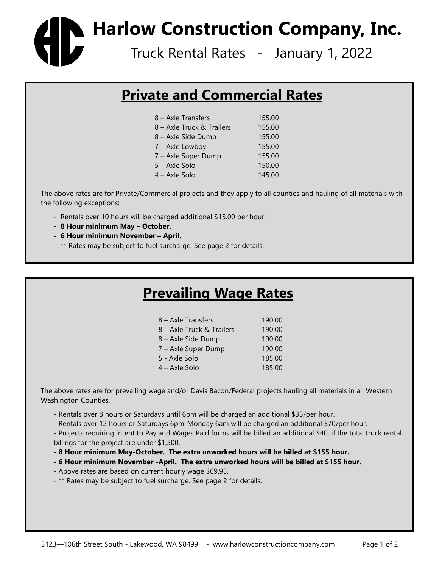Harlow Construction Company, Inc.

Truck Rental Rates - January 1, 2022

## Private and Commercial Rates

| 8 - Axle Transfers        | 155.00 |
|---------------------------|--------|
| 8 - Axle Truck & Trailers | 155.00 |
| 8 - Axle Side Dump        | 155.00 |
| 7 - Axle Lowboy           | 155.00 |
| 7 - Axle Super Dump       | 155.00 |
| 5 – Axle Solo             | 150.00 |
| 4 - Axle Solo             | 145.00 |

The above rates are for Private/Commercial projects and they apply to all counties and hauling of all materials with the following exceptions:

- Rentals over 10 hours will be charged additional \$15.00 per hour.
- 8 Hour minimum May October.
- 6 Hour minimum November April.
- \*\* Rates may be subject to fuel surcharge. See page 2 for details.

## Prevailing Wage Rates

| 8 - Axle Transfers        | 190.00 |
|---------------------------|--------|
| 8 - Axle Truck & Trailers | 190.00 |
| 8 – Axle Side Dump        | 190.00 |
| 7 - Axle Super Dump       | 190.00 |
| 5 - Axle Solo             | 185.00 |
| 4 - Axle Solo             | 185.00 |

The above rates are for prevailing wage and/or Davis Bacon/Federal projects hauling all materials in all Western Washington Counties.

- Rentals over 8 hours or Saturdays until 6pm will be charged an additional \$35/per hour.

- Rentals over 12 hours or Saturdays 6pm-Monday 6am will be charged an additional \$70/per hour.

- Projects requiring Intent to Pay and Wages Paid forms will be billed an additional \$40, if the total truck rental billings for the project are under \$1,500.

- 8 Hour minimum May-October. The extra unworked hours will be billed at \$155 hour.

- 6 Hour minimum November -April. The extra unworked hours will be billed at \$155 hour.

- Above rates are based on current hourly wage \$69.95.

- \*\* Rates may be subject to fuel surcharge. See page 2 for details.